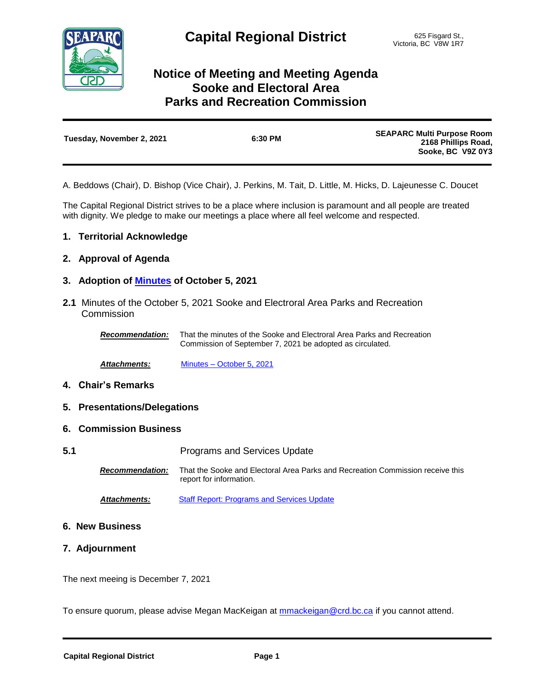

# **Notice of Meeting and Meeting Agenda Sooke and Electoral Area Parks and Recreation Commission**

| Tuesday, November 2, 2021 | 6:30 PM | <b>SEAPARC Multi Purpose Room</b><br>2168 Phillips Road,<br>Sooke, BC V9Z 0Y3 |
|---------------------------|---------|-------------------------------------------------------------------------------|
|                           |         |                                                                               |

A. Beddows (Chair), D. Bishop (Vice Chair), J. Perkins, M. Tait, D. Little, M. Hicks, D. Lajeunesse C. Doucet

The Capital Regional District strives to be a place where inclusion is paramount and all people are treated with dignity. We pledge to make our meetings a place where all feel welcome and respected.

- **1. Territorial Acknowledge**
- **2. Approval of Agenda**
- **3. Adoption of Minutes of October 5, 2021**
- **2.1** Minutes of the October 5, 2021 Sooke and Electroral Area Parks and Recreation Commission

 *Recommendation:* That the minutes of the Sooke and Electroral Area Parks and Recreation Commission of September 7, 2021 be adopted as circulated.

 *Attachments:* Minutes – October 5, 2021

- **4. Chair's Remarks**
- **5. Presentations/Delegations**
- **6. Commission Business**
- 

**5.1** Programs and Services Update

*Recommendation:* That the Sooke and Electoral Area Parks and Recreation Commission receive this report for information.

 *Attachments:* Staff Report: Programs and Services Update

#### **6. New Business**

**7. Adjournment**

The next meeing is December 7, 2021

To ensure quorum, please advise Megan MacKeigan at [mmackeigan@crd.bc.ca](mailto:mmackeigan@crd.bc.ca) if you cannot attend.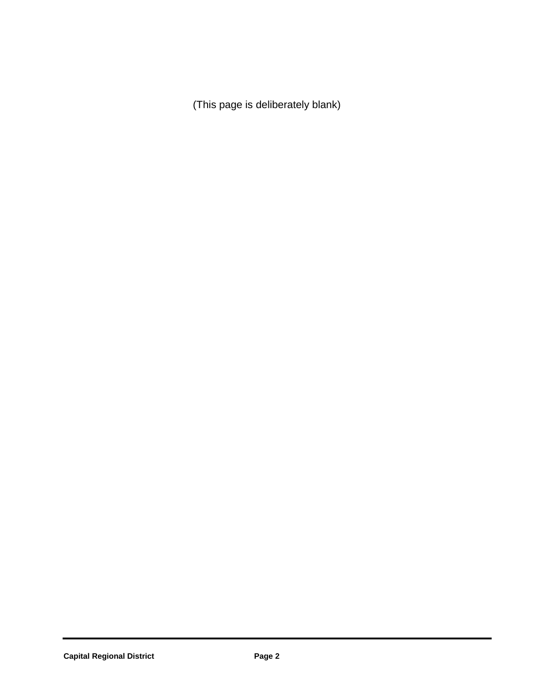(This page is deliberately blank)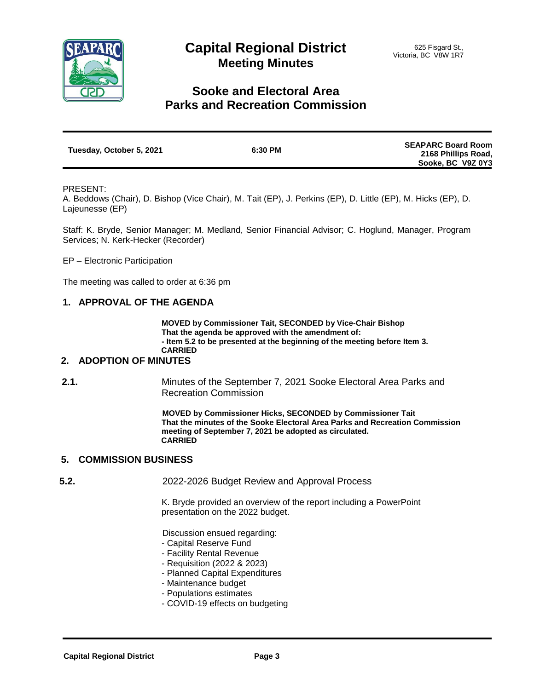

# **Sooke and Electoral Area Parks and Recreation Commission**

| Tuesday, October 5, 2021 | 6:30 PM | <b>SEAPARC Board Room</b><br>2168 Phillips Road, |
|--------------------------|---------|--------------------------------------------------|
|                          |         | Sooke, BC V9Z 0Y3                                |

PRESENT:

A. Beddows (Chair), D. Bishop (Vice Chair), M. Tait (EP), J. Perkins (EP), D. Little (EP), M. Hicks (EP), D. Lajeunesse (EP)

Staff: K. Bryde, Senior Manager; M. Medland, Senior Financial Advisor; C. Hoglund, Manager, Program Services; N. Kerk-Hecker (Recorder)

EP – Electronic Participation

The meeting was called to order at 6:36 pm

#### **1. APPROVAL OF THE AGENDA**

**MOVED by Commissioner Tait, SECONDED by Vice-Chair Bishop That the agenda be approved with the amendment of: - Item 5.2 to be presented at the beginning of the meeting before Item 3. CARRIED**

#### **2. ADOPTION OF MINUTES**

**2.1.** Minutes of the September 7, 2021 Sooke Electoral Area Parks and Recreation Commission

> **MOVED by Commissioner Hicks, SECONDED by Commissioner Tait That the minutes of the Sooke Electoral Area Parks and Recreation Commission meeting of September 7, 2021 be adopted as circulated. CARRIED**

#### **5. COMMISSION BUSINESS**

**5.2.** 2022-2026 Budget Review and Approval Process

K. Bryde provided an overview of the report including a PowerPoint presentation on the 2022 budget.

Discussion ensued regarding:

- Capital Reserve Fund
- Facility Rental Revenue
- Requisition (2022 & 2023)
- Planned Capital Expenditures
- Maintenance budget
- Populations estimates
- COVID-19 effects on budgeting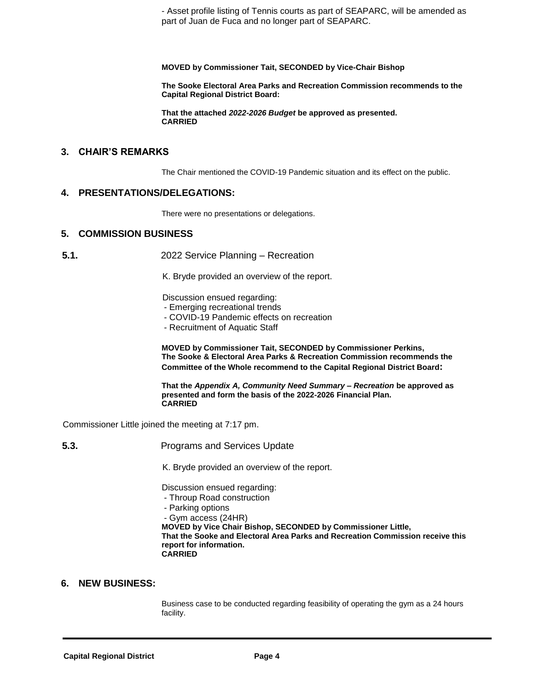- Asset profile listing of Tennis courts as part of SEAPARC, will be amended as part of Juan de Fuca and no longer part of SEAPARC.

**MOVED by Commissioner Tait, SECONDED by Vice-Chair Bishop**

**The Sooke Electoral Area Parks and Recreation Commission recommends to the Capital Regional District Board:**

**That the attached** *2022-2026 Budget* **be approved as presented. CARRIED**

#### **3. CHAIR'S REMARKS**

The Chair mentioned the COVID-19 Pandemic situation and its effect on the public.

#### **4. PRESENTATIONS/DELEGATIONS:**

There were no presentations or delegations.

#### **5. COMMISSION BUSINESS**

 **5.1.** 2022 Service Planning – Recreation

K. Bryde provided an overview of the report.

Discussion ensued regarding:

- Emerging recreational trends
- COVID-19 Pandemic effects on recreation
- Recruitment of Aquatic Staff

**MOVED by Commissioner Tait, SECONDED by Commissioner Perkins, The Sooke & Electoral Area Parks & Recreation Commission recommends the Committee of the Whole recommend to the Capital Regional District Board:**

**That the** *Appendix A, Community Need Summary – Recreation* **be approved as presented and form the basis of the 2022-2026 Financial Plan. CARRIED**

Commissioner Little joined the meeting at 7:17 pm.

 **5.3.** Programs and Services Update

K. Bryde provided an overview of the report.

Discussion ensued regarding:

- Throup Road construction
- Parking options
- Gym access (24HR)

**MOVED by Vice Chair Bishop, SECONDED by Commissioner Little, That the Sooke and Electoral Area Parks and Recreation Commission receive this report for information. CARRIED**

#### **6. NEW BUSINESS:**

Business case to be conducted regarding feasibility of operating the gym as a 24 hours facility.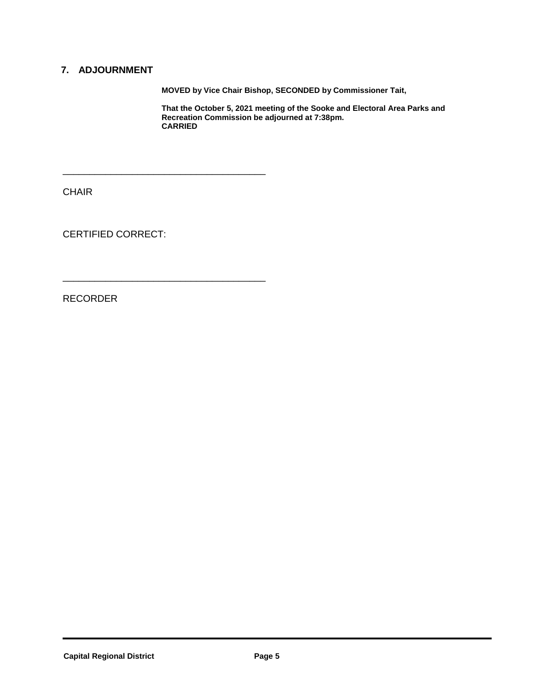## **7. ADJOURNMENT**

**MOVED by Vice Chair Bishop, SECONDED by Commissioner Tait,**

**That the October 5, 2021 meeting of the Sooke and Electoral Area Parks and Recreation Commission be adjourned at 7:38pm. CARRIED**

CHAIR

CERTIFIED CORRECT:

\_\_\_\_\_\_\_\_\_\_\_\_\_\_\_\_\_\_\_\_\_\_\_\_\_\_\_\_\_\_\_\_\_\_\_\_\_\_

\_\_\_\_\_\_\_\_\_\_\_\_\_\_\_\_\_\_\_\_\_\_\_\_\_\_\_\_\_\_\_\_\_\_\_\_\_\_

RECORDER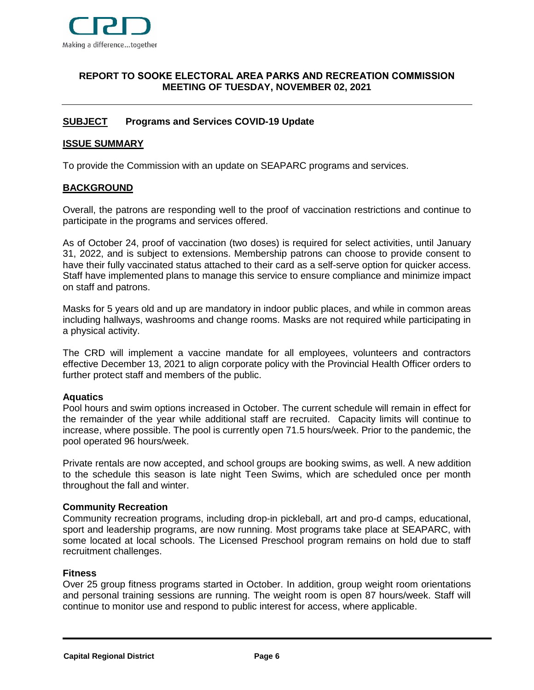<span id="page-5-0"></span>

## **[REPORT](#page-5-0) TO SOOKE ELECTORAL AREA PARKS AND RECREATION COMMISSION MEETING OF TUESDAY, NOVEMBER 02, 2021**

## <span id="page-5-1"></span>**[SUBJECT](#page-5-1) Programs and Services COVID-19 Update**

### <span id="page-5-2"></span>**[ISSUE SUMMARY](#page-5-2)**

To provide the Commission with an update on SEAPARC programs and services.

#### <span id="page-5-3"></span>**[BACKGROUND](#page-5-3)**

Overall, the patrons are responding well to the proof of vaccination restrictions and continue to participate in the programs and services offered.

As of October 24, proof of vaccination (two doses) is required for select activities, until January 31, 2022, and is subject to extensions. Membership patrons can choose to provide consent to have their fully vaccinated status attached to their card as a self-serve option for quicker access. Staff have implemented plans to manage this service to ensure compliance and minimize impact on staff and patrons.

Masks for 5 years old and up are mandatory in indoor public places, and while in common areas including hallways, washrooms and change rooms. Masks are not required while participating in a physical activity.

The CRD will implement a vaccine mandate for all employees, volunteers and contractors effective December 13, 2021 to align corporate policy with the Provincial Health Officer orders to further protect staff and members of the public.

#### **Aquatics**

Pool hours and swim options increased in October. The current schedule will remain in effect for the remainder of the year while additional staff are recruited. Capacity limits will continue to increase, where possible. The pool is currently open 71.5 hours/week. Prior to the pandemic, the pool operated 96 hours/week.

Private rentals are now accepted, and school groups are booking swims, as well. A new addition to the schedule this season is late night Teen Swims, which are scheduled once per month throughout the fall and winter.

#### **Community Recreation**

Community recreation programs, including drop-in pickleball, art and pro-d camps, educational, sport and leadership programs, are now running. Most programs take place at SEAPARC, with some located at local schools. The Licensed Preschool program remains on hold due to staff recruitment challenges.

#### **Fitness**

Over 25 group fitness programs started in October. In addition, group weight room orientations and personal training sessions are running. The weight room is open 87 hours/week. Staff will continue to monitor use and respond to public interest for access, where applicable.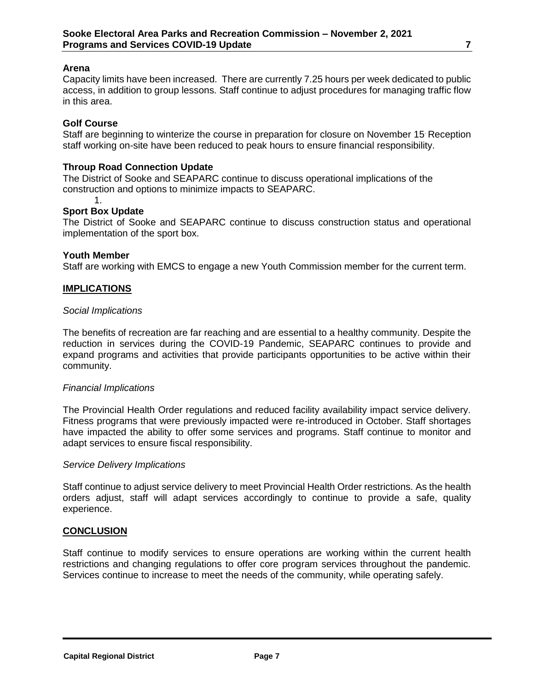## **Arena**

Capacity limits have been increased. There are currently 7.25 hours per week dedicated to public access, in addition to group lessons. Staff continue to adjust procedures for managing traffic flow in this area.

## **Golf Course**

Staff are beginning to winterize the course in preparation for closure on November 15. Reception staff working on-site have been reduced to peak hours to ensure financial responsibility.

## <span id="page-6-0"></span>**Throup Road Connection Update**

The District of Sooke and SEAPARC continue to discuss operational implications of the construction and options to minimize impacts to SEAPARC.

#### 1. **Sport Box Update**

The District of Sooke and SEAPARC continue to discuss construction status and operational implementation of the sport box.

## **Youth Member**

Staff are working with EMCS to engage a new Youth Commission member for the current term.

## **IMPLICATIONS**

#### *Social Implications*

The benefits of recreation are far reaching and are essential to a healthy community. Despite the reduction in services during the COVID-19 Pandemic, SEAPARC continues to provide and expand programs and activities that provide participants opportunities to be active within their community.

## *Financial Implications*

The Provincial Health Order regulations and reduced facility availability impact service delivery. Fitness programs that were previously impacted were re-introduced in October. Staff shortages have impacted the ability to offer some services and programs. Staff continue to monitor and adapt services to ensure fiscal responsibility.

### *Service Delivery Implications*

Staff continue to adjust service delivery to meet Provincial Health Order restrictions. As the health orders adjust, staff will adapt services accordingly to continue to provide a safe, quality experience.

## **[CONCLUSION](#page-6-0)**

Staff continue to modify services to ensure operations are working within the current health restrictions and changing regulations to offer core program services throughout the pandemic. Services continue to increase to meet the needs of the community, while operating safely.